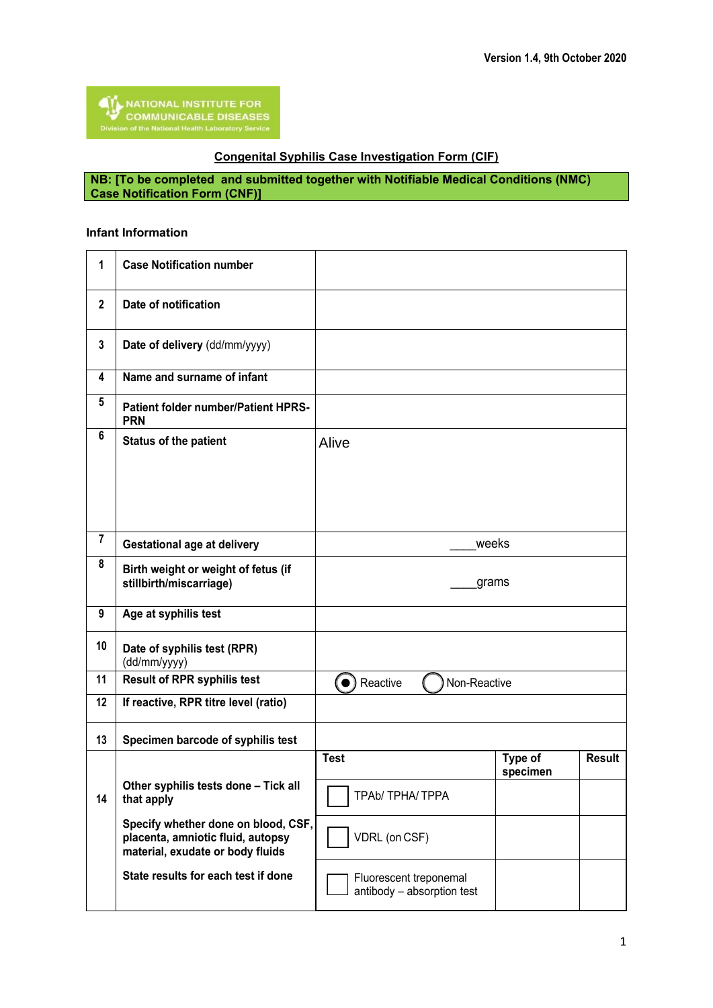## **Congenital Syphilis Case Investigation Form (CIF)**

**NB: [To be completed and submitted together with Notifiable Medical Conditions (NMC) Case Notification Form (CNF)]**

## **Infant Information**

| 1                       | <b>Case Notification number</b>                                                                              |                                                      |                     |               |
|-------------------------|--------------------------------------------------------------------------------------------------------------|------------------------------------------------------|---------------------|---------------|
| $\overline{\mathbf{2}}$ | Date of notification                                                                                         |                                                      |                     |               |
| 3                       | Date of delivery (dd/mm/yyyy)                                                                                |                                                      |                     |               |
| 4                       | Name and surname of infant                                                                                   |                                                      |                     |               |
| 5                       | <b>Patient folder number/Patient HPRS-</b><br><b>PRN</b>                                                     |                                                      |                     |               |
| 6                       | <b>Status of the patient</b>                                                                                 | Alive                                                |                     |               |
|                         |                                                                                                              |                                                      |                     |               |
| $\overline{7}$          | <b>Gestational age at delivery</b>                                                                           | weeks                                                |                     |               |
| 8                       | Birth weight or weight of fetus (if<br>stillbirth/miscarriage)                                               | grams                                                |                     |               |
| 9                       | Age at syphilis test                                                                                         |                                                      |                     |               |
| 10                      | Date of syphilis test (RPR)<br>(dd/mm/yyyy)                                                                  |                                                      |                     |               |
| 11                      | <b>Result of RPR syphilis test</b>                                                                           | 0)<br>Reactive<br>Non-Reactive                       |                     |               |
| 12                      | If reactive, RPR titre level (ratio)                                                                         |                                                      |                     |               |
| 13                      | Specimen barcode of syphilis test                                                                            |                                                      |                     |               |
|                         |                                                                                                              | <b>Test</b>                                          | Type of<br>specimen | <b>Result</b> |
| 14                      | Other syphilis tests done - Tick all<br>that apply                                                           | $\overline{\phantom{0}}$<br>TPAb/ TPHA/ TPPA         |                     |               |
|                         | Specify whether done on blood, CSF,<br>placenta, amniotic fluid, autopsy<br>material, exudate or body fluids | VDRL (on CSF)                                        |                     |               |
|                         | State results for each test if done                                                                          | Fluorescent treponemal<br>antibody - absorption test |                     |               |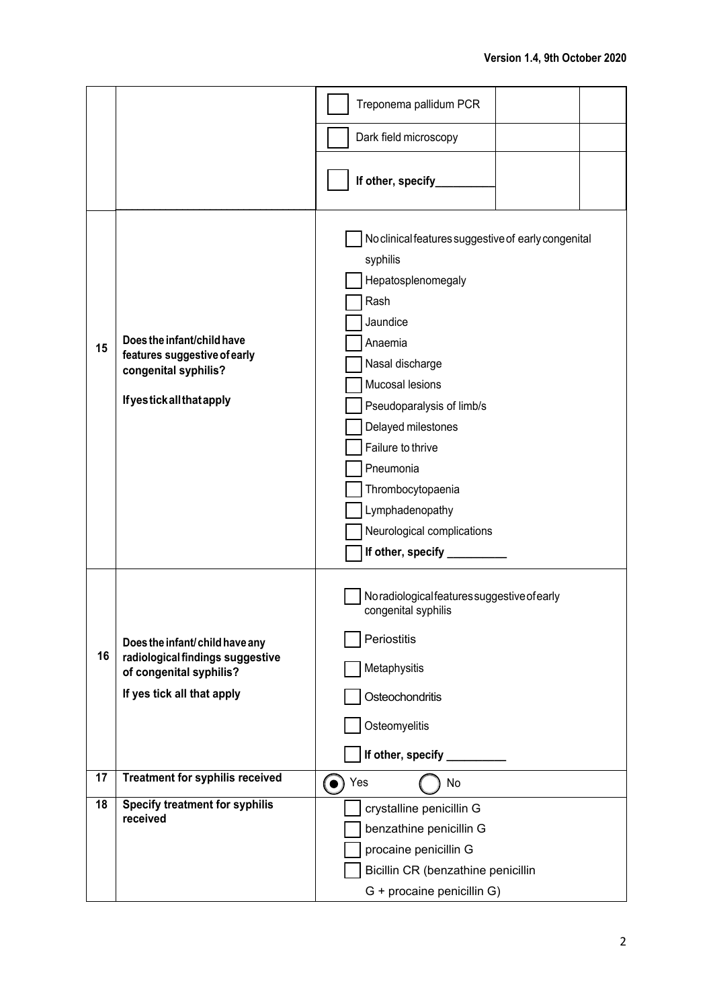|    |                                                                                                                             | Treponema pallidum PCR                                                                                                                                                                                                                                                                                                                       |  |  |
|----|-----------------------------------------------------------------------------------------------------------------------------|----------------------------------------------------------------------------------------------------------------------------------------------------------------------------------------------------------------------------------------------------------------------------------------------------------------------------------------------|--|--|
|    |                                                                                                                             | Dark field microscopy                                                                                                                                                                                                                                                                                                                        |  |  |
|    |                                                                                                                             | If other, specify_                                                                                                                                                                                                                                                                                                                           |  |  |
| 15 | Does the infant/child have<br>features suggestive of early<br>congenital syphilis?<br><b>If yestick all that apply</b>      | No clinical features suggestive of early congenital<br>syphilis<br>Hepatosplenomegaly<br>Rash<br>Jaundice<br>Anaemia<br>Nasal discharge<br>Mucosal lesions<br>Pseudoparalysis of limb/s<br>Delayed milestones<br>Failure to thrive<br>Pneumonia<br>Thrombocytopaenia<br>Lymphadenopathy<br>Neurological complications<br>If other, specify _ |  |  |
| 16 | Does the infant/child have any<br>radiological findings suggestive<br>of congenital syphilis?<br>If yes tick all that apply | No radiological features suggestive of early<br>congenital syphilis<br>Periostitis<br>Metaphysitis<br>Osteochondritis<br>Osteomyelitis<br>If other, specify _________                                                                                                                                                                        |  |  |
| 17 | <b>Treatment for syphilis received</b>                                                                                      | Yes<br>No<br>$\bullet)$                                                                                                                                                                                                                                                                                                                      |  |  |
| 18 | Specify treatment for syphilis<br>received                                                                                  | crystalline penicillin G<br>benzathine penicillin G<br>procaine penicillin G<br>Bicillin CR (benzathine penicillin<br>G + procaine penicillin G)                                                                                                                                                                                             |  |  |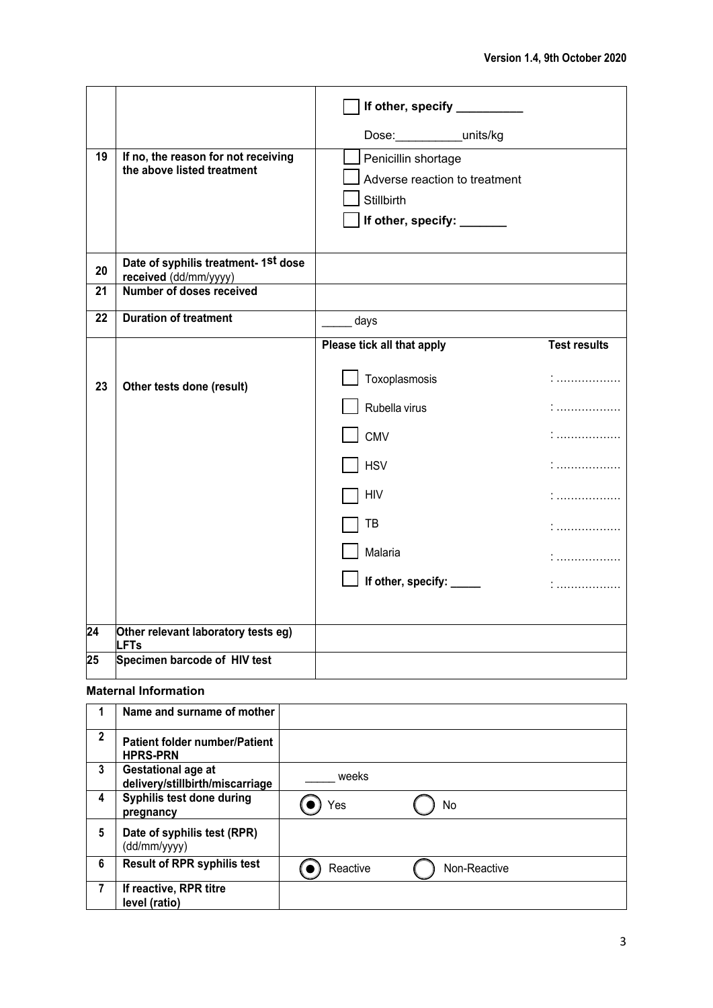|                 |                                                                   | If other, specify __________  |                     |
|-----------------|-------------------------------------------------------------------|-------------------------------|---------------------|
|                 |                                                                   | Dose:___________units/kg      |                     |
| 19              | If no, the reason for not receiving<br>the above listed treatment | Penicillin shortage           |                     |
|                 |                                                                   | Adverse reaction to treatment |                     |
|                 |                                                                   | Stillbirth                    |                     |
|                 |                                                                   | If other, specify: ______     |                     |
| 20              | Date of syphilis treatment- 1st dose<br>received (dd/mm/yyyy)     |                               |                     |
| 21              | Number of doses received                                          |                               |                     |
| 22              | <b>Duration of treatment</b>                                      | days                          |                     |
|                 |                                                                   | Please tick all that apply    | <b>Test results</b> |
| 23              | Other tests done (result)                                         | Toxoplasmosis                 | .<br>.              |
|                 |                                                                   | Rubella virus                 |                     |
|                 |                                                                   | <b>CMV</b>                    |                     |
|                 |                                                                   | <b>HSV</b>                    |                     |
|                 |                                                                   | <b>HIV</b>                    |                     |
|                 |                                                                   | TB                            | .<br>.              |
|                 |                                                                   | Malaria                       | .                   |
|                 |                                                                   | If other, specify: ____       |                     |
|                 |                                                                   |                               |                     |
| $\overline{24}$ | Other relevant laboratory tests eg)<br><b>LFTs</b>                |                               |                     |
| $\overline{25}$ | Specimen barcode of HIV test                                      |                               |                     |

## **Maternal Information**

|              | Name and surname of mother                              |          |              |  |
|--------------|---------------------------------------------------------|----------|--------------|--|
| $\mathbf{2}$ | <b>Patient folder number/Patient</b><br><b>HPRS-PRN</b> |          |              |  |
| 3            | Gestational age at<br>delivery/stillbirth/miscarriage   | weeks    |              |  |
| 4            | Syphilis test done during<br>pregnancy                  | Yes      | No           |  |
| 5            | Date of syphilis test (RPR)<br>(dd/mm/yyyy)             |          |              |  |
| 6            | <b>Result of RPR syphilis test</b>                      | Reactive | Non-Reactive |  |
| 7            | If reactive, RPR titre<br>level (ratio)                 |          |              |  |